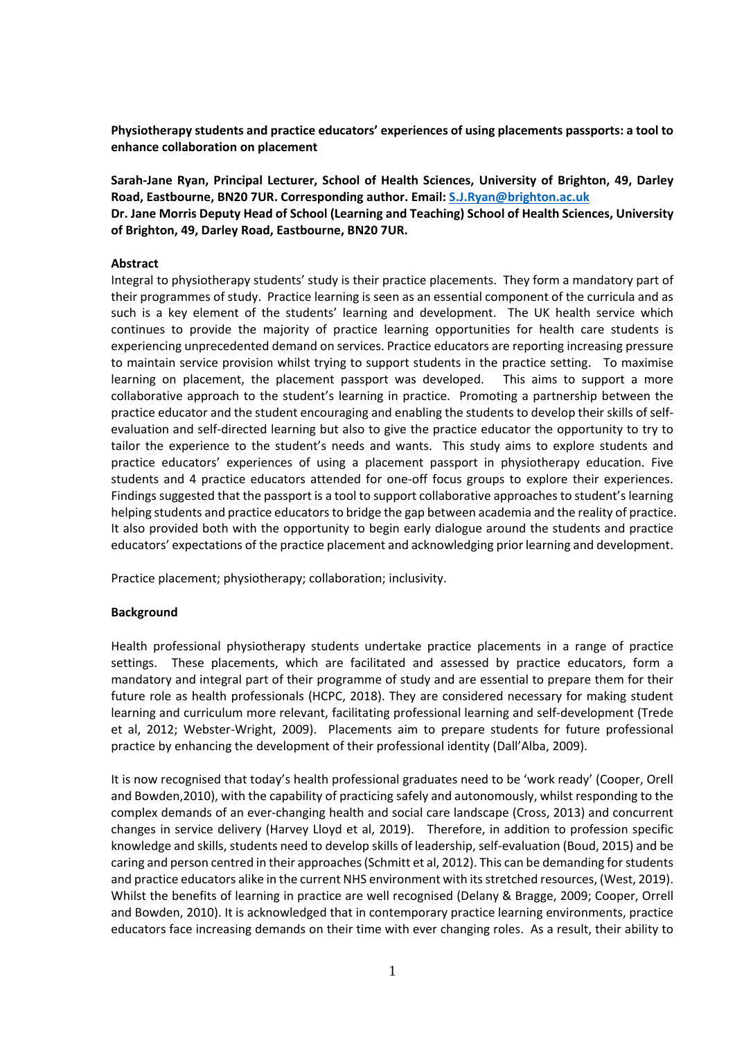**Physiotherapy students and practice educators' experiences of using placements passports: a tool to enhance collaboration on placement** 

**Sarah-Jane Ryan, Principal Lecturer, School of Health Sciences, University of Brighton, 49, Darley Road, Eastbourne, BN20 7UR. Corresponding author. Email: [S.J.Ryan@brighton.ac.uk](mailto:S.J.Ryan@brighton.ac.uk) Dr. Jane Morris Deputy Head of School (Learning and Teaching) School of Health Sciences, University of Brighton, 49, Darley Road, Eastbourne, BN20 7UR.** 

## **Abstract**

Integral to physiotherapy students' study is their practice placements. They form a mandatory part of their programmes of study. Practice learning is seen as an essential component of the curricula and as such is a key element of the students' learning and development. The UK health service which continues to provide the majority of practice learning opportunities for health care students is experiencing unprecedented demand on services. Practice educators are reporting increasing pressure to maintain service provision whilst trying to support students in the practice setting. To maximise learning on placement, the placement passport was developed. This aims to support a more collaborative approach to the student's learning in practice. Promoting a partnership between the practice educator and the student encouraging and enabling the students to develop their skills of selfevaluation and self-directed learning but also to give the practice educator the opportunity to try to tailor the experience to the student's needs and wants. This study aims to explore students and practice educators' experiences of using a placement passport in physiotherapy education. Five students and 4 practice educators attended for one-off focus groups to explore their experiences. Findings suggested that the passport is a tool to support collaborative approaches to student's learning helping students and practice educators to bridge the gap between academia and the reality of practice. It also provided both with the opportunity to begin early dialogue around the students and practice educators' expectations of the practice placement and acknowledging prior learning and development.

Practice placement; physiotherapy; collaboration; inclusivity.

# **Background**

Health professional physiotherapy students undertake practice placements in a range of practice settings. These placements, which are facilitated and assessed by practice educators, form a mandatory and integral part of their programme of study and are essential to prepare them for their future role as health professionals (HCPC, 2018). They are considered necessary for making student learning and curriculum more relevant, facilitating professional learning and self-development (Trede et al, 2012; Webster-Wright, 2009). Placements aim to prepare students for future professional practice by enhancing the development of their professional identity (Dall'Alba, 2009).

It is now recognised that today's health professional graduates need to be 'work ready' (Cooper, Orell and Bowden,2010), with the capability of practicing safely and autonomously, whilst responding to the complex demands of an ever-changing health and social care landscape (Cross, 2013) and concurrent changes in service delivery (Harvey Lloyd et al, 2019). Therefore, in addition to profession specific knowledge and skills, students need to develop skills of leadership, self-evaluation (Boud, 2015) and be caring and person centred in their approaches (Schmitt et al, 2012). This can be demanding for students and practice educators alike in the current NHS environment with its stretched resources, (West, 2019). Whilst the benefits of learning in practice are well recognised (Delany & Bragge, 2009; Cooper, Orrell and Bowden, 2010). It is acknowledged that in contemporary practice learning environments, practice educators face increasing demands on their time with ever changing roles. As a result, their ability to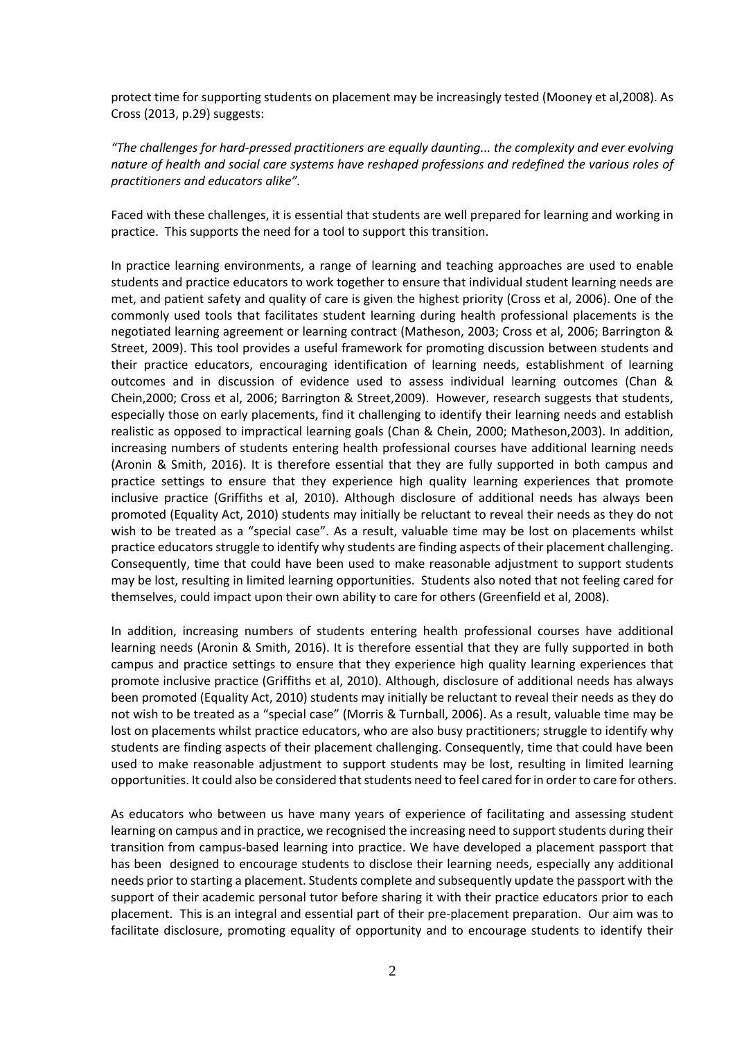protect time for supporting students on placement may be increasingly tested (Mooney et al,2008). As Cross (2013, p.29) suggests:

*"The challenges for hard-pressed practitioners are equally daunting... the complexity and ever evolving nature of health and social care systems have reshaped professions and redefined the various roles of practitioners and educators alike".* 

Faced with these challenges, it is essential that students are well prepared for learning and working in practice. This supports the need for a tool to support this transition.

In practice learning environments, a range of learning and teaching approaches are used to enable students and practice educators to work together to ensure that individual student learning needs are met, and patient safety and quality of care is given the highest priority (Cross et al, 2006). One of the commonly used tools that facilitates student learning during health professional placements is the negotiated learning agreement or learning contract (Matheson, 2003; Cross et al, 2006; Barrington & Street, 2009). This tool provides a useful framework for promoting discussion between students and their practice educators, encouraging identification of learning needs, establishment of learning outcomes and in discussion of evidence used to assess individual learning outcomes (Chan & Chein,2000; Cross et al, 2006; Barrington & Street,2009). However, research suggests that students, especially those on early placements, find it challenging to identify their learning needs and establish realistic as opposed to impractical learning goals (Chan & Chein, 2000; Matheson,2003). In addition, increasing numbers of students entering health professional courses have additional learning needs (Aronin & Smith, 2016). It is therefore essential that they are fully supported in both campus and practice settings to ensure that they experience high quality learning experiences that promote inclusive practice (Griffiths et al, 2010). Although disclosure of additional needs has always been promoted (Equality Act, 2010) students may initially be reluctant to reveal their needs as they do not wish to be treated as a "special case". As a result, valuable time may be lost on placements whilst practice educators struggle to identify why students are finding aspects of their placement challenging. Consequently, time that could have been used to make reasonable adjustment to support students may be lost, resulting in limited learning opportunities. Students also noted that not feeling cared for themselves, could impact upon their own ability to care for others (Greenfield et al, 2008).

In addition, increasing numbers of students entering health professional courses have additional learning needs (Aronin & Smith, 2016). It is therefore essential that they are fully supported in both campus and practice settings to ensure that they experience high quality learning experiences that promote inclusive practice (Griffiths et al, 2010). Although, disclosure of additional needs has always been promoted (Equality Act, 2010) students may initially be reluctant to reveal their needs as they do not wish to be treated as a "special case" (Morris & Turnball, 2006). As a result, valuable time may be lost on placements whilst practice educators, who are also busy practitioners; struggle to identify why students are finding aspects of their placement challenging. Consequently, time that could have been used to make reasonable adjustment to support students may be lost, resulting in limited learning opportunities. It could also be considered that students need to feel cared for in order to care for others.

As educators who between us have many years of experience of facilitating and assessing student learning on campus and in practice, we recognised the increasing need to support students during their transition from campus-based learning into practice. We have developed a placement passport that has been designed to encourage students to disclose their learning needs, especially any additional needs prior to starting a placement. Students complete and subsequently update the passport with the support of their academic personal tutor before sharing it with their practice educators prior to each placement. This is an integral and essential part of their pre-placement preparation. Our aim was to facilitate disclosure, promoting equality of opportunity and to encourage students to identify their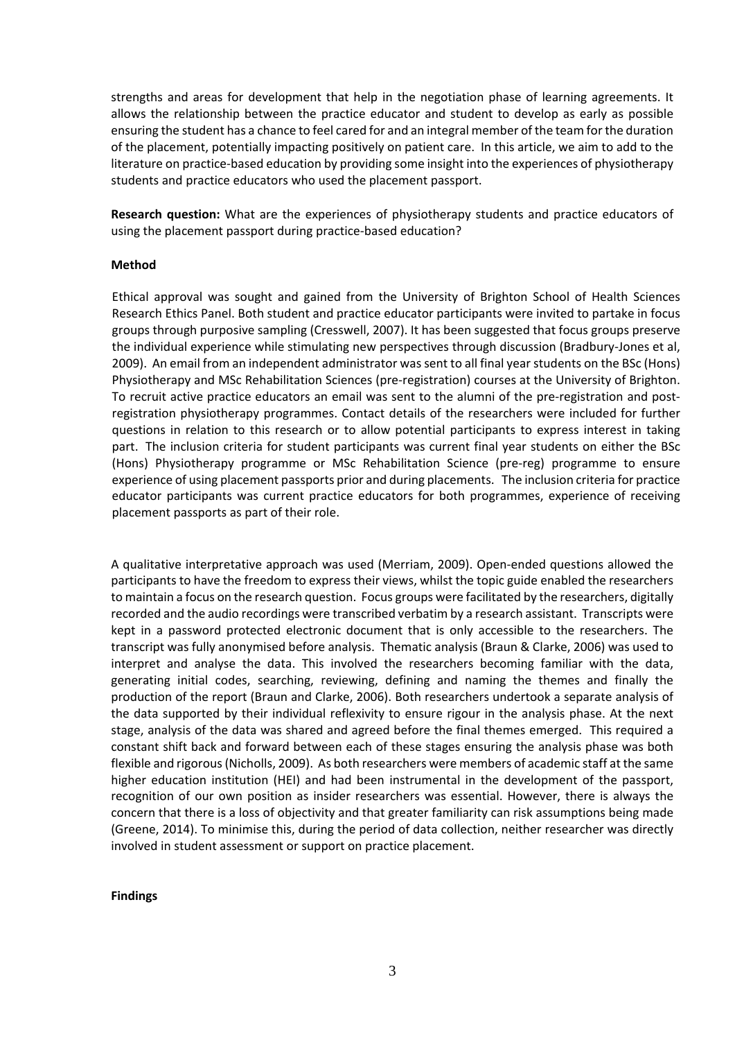strengths and areas for development that help in the negotiation phase of learning agreements. It allows the relationship between the practice educator and student to develop as early as possible ensuring the student has a chance to feel cared for and an integral member of the team for the duration of the placement, potentially impacting positively on patient care. In this article, we aim to add to the literature on practice-based education by providing some insight into the experiences of physiotherapy students and practice educators who used the placement passport.

**Research question:** What are the experiences of physiotherapy students and practice educators of using the placement passport during practice-based education?

## **Method**

Ethical approval was sought and gained from the University of Brighton School of Health Sciences Research Ethics Panel. Both student and practice educator participants were invited to partake in focus groups through purposive sampling (Cresswell, 2007). It has been suggested that focus groups preserve the individual experience while stimulating new perspectives through discussion (Bradbury-Jones et al, 2009). An email from an independent administrator was sent to all final year students on the BSc (Hons) Physiotherapy and MSc Rehabilitation Sciences (pre-registration) courses at the University of Brighton. To recruit active practice educators an email was sent to the alumni of the pre-registration and postregistration physiotherapy programmes. Contact details of the researchers were included for further questions in relation to this research or to allow potential participants to express interest in taking part. The inclusion criteria for student participants was current final year students on either the BSc (Hons) Physiotherapy programme or MSc Rehabilitation Science (pre-reg) programme to ensure experience of using placement passports prior and during placements. The inclusion criteria for practice educator participants was current practice educators for both programmes, experience of receiving placement passports as part of their role.

A qualitative interpretative approach was used (Merriam, 2009). Open-ended questions allowed the participants to have the freedom to express their views, whilst the topic guide enabled the researchers to maintain a focus on the research question. Focus groups were facilitated by the researchers, digitally recorded and the audio recordings were transcribed verbatim by a research assistant. Transcripts were kept in a password protected electronic document that is only accessible to the researchers. The transcript was fully anonymised before analysis. Thematic analysis (Braun & Clarke, 2006) was used to interpret and analyse the data. This involved the researchers becoming familiar with the data, generating initial codes, searching, reviewing, defining and naming the themes and finally the production of the report (Braun and Clarke, 2006). Both researchers undertook a separate analysis of the data supported by their individual reflexivity to ensure rigour in the analysis phase. At the next stage, analysis of the data was shared and agreed before the final themes emerged. This required a constant shift back and forward between each of these stages ensuring the analysis phase was both flexible and rigorous(Nicholls, 2009). As both researchers were members of academic staff at the same higher education institution (HEI) and had been instrumental in the development of the passport, recognition of our own position as insider researchers was essential. However, there is always the concern that there is a loss of objectivity and that greater familiarity can risk assumptions being made (Greene, 2014). To minimise this, during the period of data collection, neither researcher was directly involved in student assessment or support on practice placement.

#### **Findings**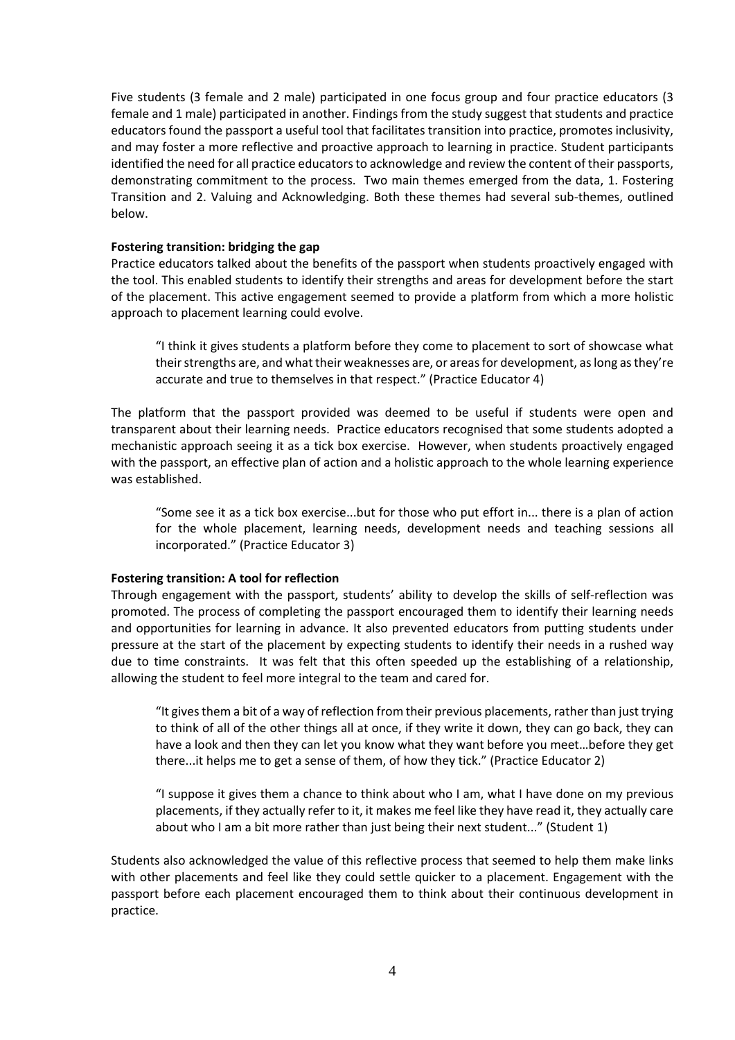Five students (3 female and 2 male) participated in one focus group and four practice educators (3 female and 1 male) participated in another. Findings from the study suggest that students and practice educators found the passport a useful tool that facilitates transition into practice, promotes inclusivity, and may foster a more reflective and proactive approach to learning in practice. Student participants identified the need for all practice educators to acknowledge and review the content of their passports, demonstrating commitment to the process. Two main themes emerged from the data, 1. Fostering Transition and 2. Valuing and Acknowledging. Both these themes had several sub-themes, outlined below.

### **Fostering transition: bridging the gap**

Practice educators talked about the benefits of the passport when students proactively engaged with the tool. This enabled students to identify their strengths and areas for development before the start of the placement. This active engagement seemed to provide a platform from which a more holistic approach to placement learning could evolve.

"I think it gives students a platform before they come to placement to sort of showcase what their strengths are, and what their weaknesses are, or areas for development, as long as they're accurate and true to themselves in that respect." (Practice Educator 4)

The platform that the passport provided was deemed to be useful if students were open and transparent about their learning needs. Practice educators recognised that some students adopted a mechanistic approach seeing it as a tick box exercise. However, when students proactively engaged with the passport, an effective plan of action and a holistic approach to the whole learning experience was established.

"Some see it as a tick box exercise...but for those who put effort in... there is a plan of action for the whole placement, learning needs, development needs and teaching sessions all incorporated." (Practice Educator 3)

#### **Fostering transition: A tool for reflection**

Through engagement with the passport, students' ability to develop the skills of self-reflection was promoted. The process of completing the passport encouraged them to identify their learning needs and opportunities for learning in advance. It also prevented educators from putting students under pressure at the start of the placement by expecting students to identify their needs in a rushed way due to time constraints. It was felt that this often speeded up the establishing of a relationship, allowing the student to feel more integral to the team and cared for.

"It gives them a bit of a way of reflection from their previous placements, rather than just trying to think of all of the other things all at once, if they write it down, they can go back, they can have a look and then they can let you know what they want before you meet…before they get there...it helps me to get a sense of them, of how they tick." (Practice Educator 2)

"I suppose it gives them a chance to think about who I am, what I have done on my previous placements, if they actually refer to it, it makes me feel like they have read it, they actually care about who I am a bit more rather than just being their next student..." (Student 1)

Students also acknowledged the value of this reflective process that seemed to help them make links with other placements and feel like they could settle quicker to a placement. Engagement with the passport before each placement encouraged them to think about their continuous development in practice.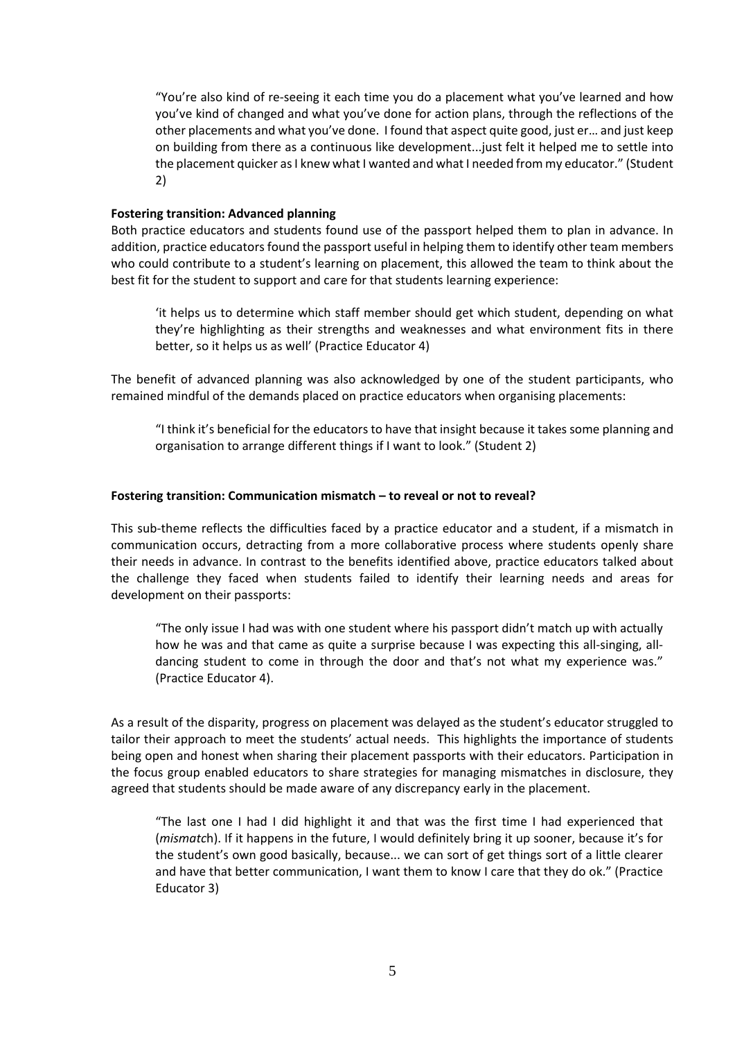"You're also kind of re-seeing it each time you do a placement what you've learned and how you've kind of changed and what you've done for action plans, through the reflections of the other placements and what you've done. I found that aspect quite good, just er… and just keep on building from there as a continuous like development...just felt it helped me to settle into the placement quicker as I knew what I wanted and what I needed from my educator." (Student 2)

### **Fostering transition: Advanced planning**

Both practice educators and students found use of the passport helped them to plan in advance. In addition, practice educators found the passport useful in helping them to identify other team members who could contribute to a student's learning on placement, this allowed the team to think about the best fit for the student to support and care for that students learning experience:

'it helps us to determine which staff member should get which student, depending on what they're highlighting as their strengths and weaknesses and what environment fits in there better, so it helps us as well' (Practice Educator 4)

The benefit of advanced planning was also acknowledged by one of the student participants, who remained mindful of the demands placed on practice educators when organising placements:

"I think it's beneficial for the educators to have that insight because it takes some planning and organisation to arrange different things if I want to look." (Student 2)

## **Fostering transition: Communication mismatch – to reveal or not to reveal?**

This sub-theme reflects the difficulties faced by a practice educator and a student, if a mismatch in communication occurs, detracting from a more collaborative process where students openly share their needs in advance. In contrast to the benefits identified above, practice educators talked about the challenge they faced when students failed to identify their learning needs and areas for development on their passports:

"The only issue I had was with one student where his passport didn't match up with actually how he was and that came as quite a surprise because I was expecting this all-singing, alldancing student to come in through the door and that's not what my experience was." (Practice Educator 4).

As a result of the disparity, progress on placement was delayed as the student's educator struggled to tailor their approach to meet the students' actual needs. This highlights the importance of students being open and honest when sharing their placement passports with their educators. Participation in the focus group enabled educators to share strategies for managing mismatches in disclosure, they agreed that students should be made aware of any discrepancy early in the placement.

"The last one I had I did highlight it and that was the first time I had experienced that (*mismatc*h). If it happens in the future, I would definitely bring it up sooner, because it's for the student's own good basically, because... we can sort of get things sort of a little clearer and have that better communication, I want them to know I care that they do ok." (Practice Educator 3)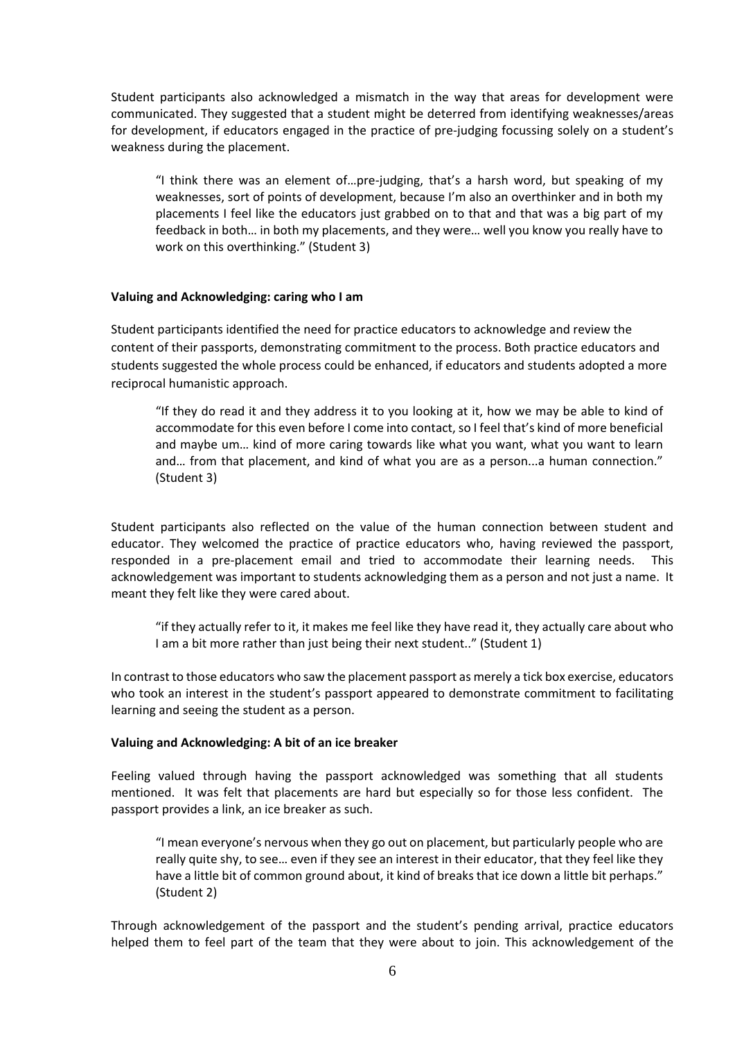Student participants also acknowledged a mismatch in the way that areas for development were communicated. They suggested that a student might be deterred from identifying weaknesses/areas for development, if educators engaged in the practice of pre-judging focussing solely on a student's weakness during the placement.

"I think there was an element of…pre-judging, that's a harsh word, but speaking of my weaknesses, sort of points of development, because I'm also an overthinker and in both my placements I feel like the educators just grabbed on to that and that was a big part of my feedback in both… in both my placements, and they were… well you know you really have to work on this overthinking." (Student 3)

#### **Valuing and Acknowledging: caring who I am**

Student participants identified the need for practice educators to acknowledge and review the content of their passports, demonstrating commitment to the process. Both practice educators and students suggested the whole process could be enhanced, if educators and students adopted a more reciprocal humanistic approach.

"If they do read it and they address it to you looking at it, how we may be able to kind of accommodate for this even before I come into contact, so I feel that's kind of more beneficial and maybe um… kind of more caring towards like what you want, what you want to learn and… from that placement, and kind of what you are as a person...a human connection." (Student 3)

Student participants also reflected on the value of the human connection between student and educator. They welcomed the practice of practice educators who, having reviewed the passport, responded in a pre-placement email and tried to accommodate their learning needs. This acknowledgement was important to students acknowledging them as a person and not just a name. It meant they felt like they were cared about.

"if they actually refer to it, it makes me feel like they have read it, they actually care about who I am a bit more rather than just being their next student.." (Student 1)

In contrast to those educators who saw the placement passport as merely a tick box exercise, educators who took an interest in the student's passport appeared to demonstrate commitment to facilitating learning and seeing the student as a person.

#### **Valuing and Acknowledging: A bit of an ice breaker**

Feeling valued through having the passport acknowledged was something that all students mentioned. It was felt that placements are hard but especially so for those less confident. The passport provides a link, an ice breaker as such.

"I mean everyone's nervous when they go out on placement, but particularly people who are really quite shy, to see… even if they see an interest in their educator, that they feel like they have a little bit of common ground about, it kind of breaks that ice down a little bit perhaps." (Student 2)

Through acknowledgement of the passport and the student's pending arrival, practice educators helped them to feel part of the team that they were about to join. This acknowledgement of the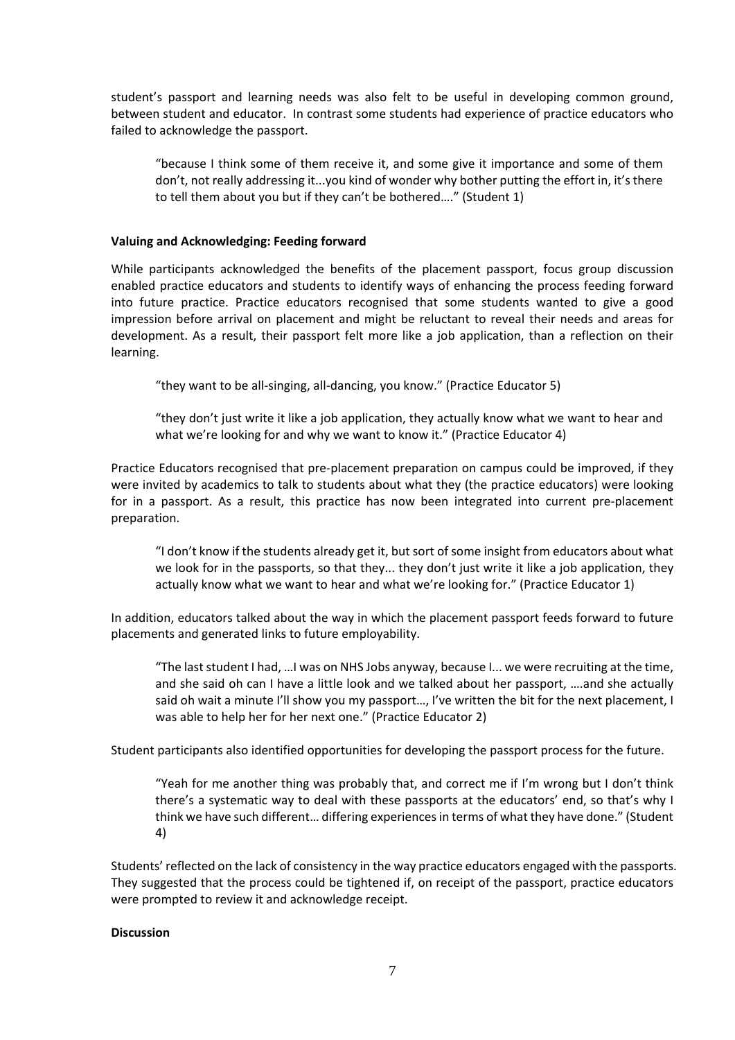student's passport and learning needs was also felt to be useful in developing common ground, between student and educator. In contrast some students had experience of practice educators who failed to acknowledge the passport.

"because I think some of them receive it, and some give it importance and some of them don't, not really addressing it...you kind of wonder why bother putting the effort in, it's there to tell them about you but if they can't be bothered…." (Student 1)

## **Valuing and Acknowledging: Feeding forward**

While participants acknowledged the benefits of the placement passport, focus group discussion enabled practice educators and students to identify ways of enhancing the process feeding forward into future practice. Practice educators recognised that some students wanted to give a good impression before arrival on placement and might be reluctant to reveal their needs and areas for development. As a result, their passport felt more like a job application, than a reflection on their learning.

"they want to be all-singing, all-dancing, you know." (Practice Educator 5)

"they don't just write it like a job application, they actually know what we want to hear and what we're looking for and why we want to know it." (Practice Educator 4)

Practice Educators recognised that pre-placement preparation on campus could be improved, if they were invited by academics to talk to students about what they (the practice educators) were looking for in a passport. As a result, this practice has now been integrated into current pre-placement preparation.

"I don't know if the students already get it, but sort of some insight from educators about what we look for in the passports, so that they... they don't just write it like a job application, they actually know what we want to hear and what we're looking for." (Practice Educator 1)

In addition, educators talked about the way in which the placement passport feeds forward to future placements and generated links to future employability.

"The last student I had, …I was on NHS Jobs anyway, because I... we were recruiting at the time, and she said oh can I have a little look and we talked about her passport, ….and she actually said oh wait a minute I'll show you my passport..., I've written the bit for the next placement, I was able to help her for her next one." (Practice Educator 2)

Student participants also identified opportunities for developing the passport process for the future.

"Yeah for me another thing was probably that, and correct me if I'm wrong but I don't think there's a systematic way to deal with these passports at the educators' end, so that's why I think we have such different… differing experiences in terms of what they have done." (Student 4)

Students' reflected on the lack of consistency in the way practice educators engaged with the passports. They suggested that the process could be tightened if, on receipt of the passport, practice educators were prompted to review it and acknowledge receipt.

#### **Discussion**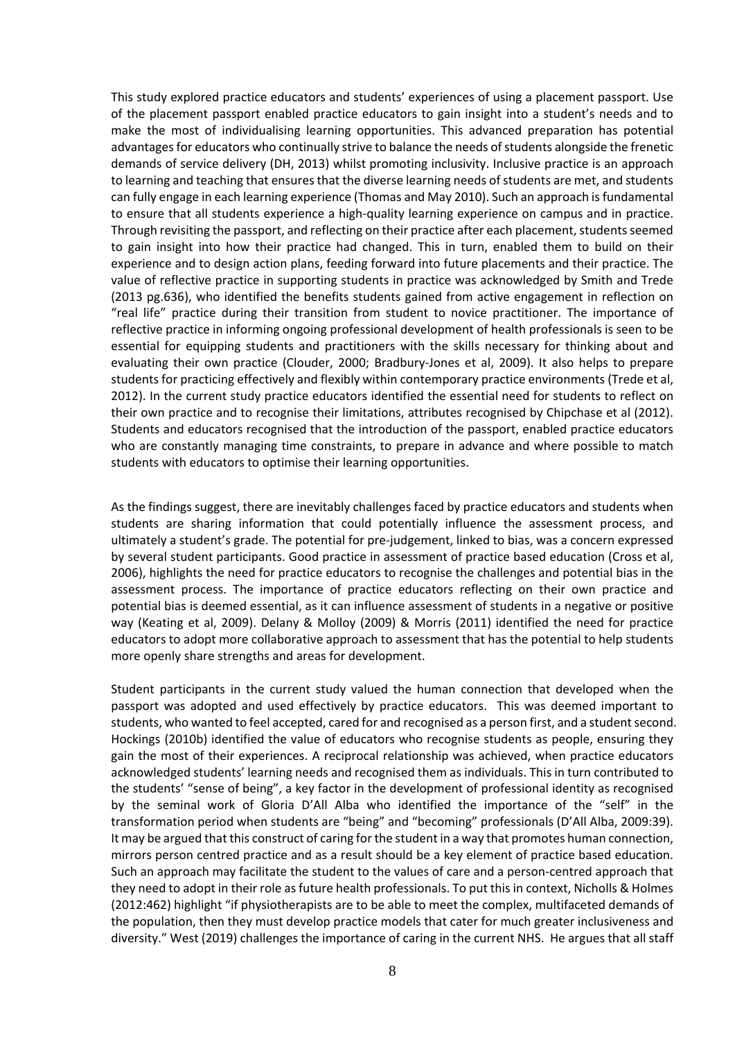This study explored practice educators and students' experiences of using a placement passport. Use of the placement passport enabled practice educators to gain insight into a student's needs and to make the most of individualising learning opportunities. This advanced preparation has potential advantages for educators who continually strive to balance the needs of students alongside the frenetic demands of service delivery (DH, 2013) whilst promoting inclusivity. Inclusive practice is an approach to learning and teaching that ensures that the diverse learning needs of students are met, and students can fully engage in each learning experience (Thomas and May 2010). Such an approach is fundamental to ensure that all students experience a high-quality learning experience on campus and in practice. Through revisiting the passport, and reflecting on their practice after each placement, students seemed to gain insight into how their practice had changed. This in turn, enabled them to build on their experience and to design action plans, feeding forward into future placements and their practice. The value of reflective practice in supporting students in practice was acknowledged by Smith and Trede (2013 pg.636), who identified the benefits students gained from active engagement in reflection on "real life" practice during their transition from student to novice practitioner. The importance of reflective practice in informing ongoing professional development of health professionals is seen to be essential for equipping students and practitioners with the skills necessary for thinking about and evaluating their own practice (Clouder, 2000; Bradbury-Jones et al, 2009). It also helps to prepare students for practicing effectively and flexibly within contemporary practice environments (Trede et al, 2012). In the current study practice educators identified the essential need for students to reflect on their own practice and to recognise their limitations, attributes recognised by Chipchase et al (2012). Students and educators recognised that the introduction of the passport, enabled practice educators who are constantly managing time constraints, to prepare in advance and where possible to match students with educators to optimise their learning opportunities.

As the findings suggest, there are inevitably challenges faced by practice educators and students when students are sharing information that could potentially influence the assessment process, and ultimately a student's grade. The potential for pre-judgement, linked to bias, was a concern expressed by several student participants. Good practice in assessment of practice based education (Cross et al, 2006), highlights the need for practice educators to recognise the challenges and potential bias in the assessment process. The importance of practice educators reflecting on their own practice and potential bias is deemed essential, as it can influence assessment of students in a negative or positive way (Keating et al, 2009). Delany & Molloy (2009) & Morris (2011) identified the need for practice educators to adopt more collaborative approach to assessment that has the potential to help students more openly share strengths and areas for development.

Student participants in the current study valued the human connection that developed when the passport was adopted and used effectively by practice educators. This was deemed important to students, who wanted to feel accepted, cared for and recognised as a person first, and a student second. Hockings (2010b) identified the value of educators who recognise students as people, ensuring they gain the most of their experiences. A reciprocal relationship was achieved, when practice educators acknowledged students' learning needs and recognised them as individuals. This in turn contributed to the students' "sense of being", a key factor in the development of professional identity as recognised by the seminal work of Gloria D'All Alba who identified the importance of the "self" in the transformation period when students are "being" and "becoming" professionals (D'All Alba, 2009:39). It may be argued that this construct of caring for the student in a way that promotes human connection, mirrors person centred practice and as a result should be a key element of practice based education. Such an approach may facilitate the student to the values of care and a person-centred approach that they need to adopt in their role as future health professionals. To put this in context, Nicholls & Holmes (2012:462) highlight "if physiotherapists are to be able to meet the complex, multifaceted demands of the population, then they must develop practice models that cater for much greater inclusiveness and diversity." West (2019) challenges the importance of caring in the current NHS. He argues that all staff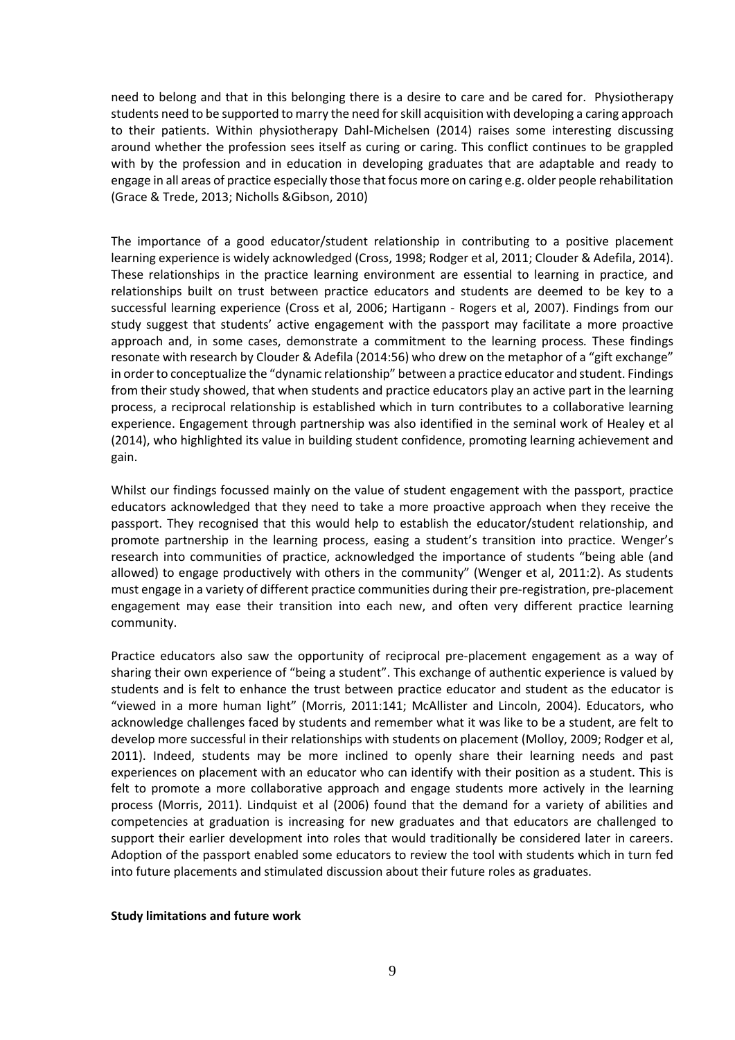need to belong and that in this belonging there is a desire to care and be cared for. Physiotherapy students need to be supported to marry the need for skill acquisition with developing a caring approach to their patients. Within physiotherapy Dahl-Michelsen (2014) raises some interesting discussing around whether the profession sees itself as curing or caring. This conflict continues to be grappled with by the profession and in education in developing graduates that are adaptable and ready to engage in all areas of practice especially those that focus more on caring e.g. older people rehabilitation (Grace & Trede, 2013; Nicholls &Gibson, 2010)

The importance of a good educator/student relationship in contributing to a positive placement learning experience is widely acknowledged (Cross, 1998; Rodger et al, 2011; Clouder & Adefila, 2014). These relationships in the practice learning environment are essential to learning in practice, and relationships built on trust between practice educators and students are deemed to be key to a successful learning experience (Cross et al, 2006; Hartigann - Rogers et al, 2007). Findings from our study suggest that students' active engagement with the passport may facilitate a more proactive approach and, in some cases, demonstrate a commitment to the learning process*.* These findings resonate with research by Clouder & Adefila (2014:56) who drew on the metaphor of a "gift exchange" in order to conceptualize the "dynamic relationship" between a practice educator and student. Findings from their study showed, that when students and practice educators play an active part in the learning process, a reciprocal relationship is established which in turn contributes to a collaborative learning experience. Engagement through partnership was also identified in the seminal work of Healey et al (2014), who highlighted its value in building student confidence, promoting learning achievement and gain.

Whilst our findings focussed mainly on the value of student engagement with the passport, practice educators acknowledged that they need to take a more proactive approach when they receive the passport. They recognised that this would help to establish the educator/student relationship, and promote partnership in the learning process, easing a student's transition into practice. Wenger's research into communities of practice, acknowledged the importance of students "being able (and allowed) to engage productively with others in the community" (Wenger et al, 2011:2). As students must engage in a variety of different practice communities during their pre-registration, pre-placement engagement may ease their transition into each new, and often very different practice learning community.

Practice educators also saw the opportunity of reciprocal pre-placement engagement as a way of sharing their own experience of "being a student". This exchange of authentic experience is valued by students and is felt to enhance the trust between practice educator and student as the educator is "viewed in a more human light" (Morris, 2011:141; McAllister and Lincoln, 2004). Educators, who acknowledge challenges faced by students and remember what it was like to be a student, are felt to develop more successful in their relationships with students on placement (Molloy, 2009; Rodger et al, 2011). Indeed, students may be more inclined to openly share their learning needs and past experiences on placement with an educator who can identify with their position as a student. This is felt to promote a more collaborative approach and engage students more actively in the learning process (Morris, 2011). Lindquist et al (2006) found that the demand for a variety of abilities and competencies at graduation is increasing for new graduates and that educators are challenged to support their earlier development into roles that would traditionally be considered later in careers. Adoption of the passport enabled some educators to review the tool with students which in turn fed into future placements and stimulated discussion about their future roles as graduates.

#### **Study limitations and future work**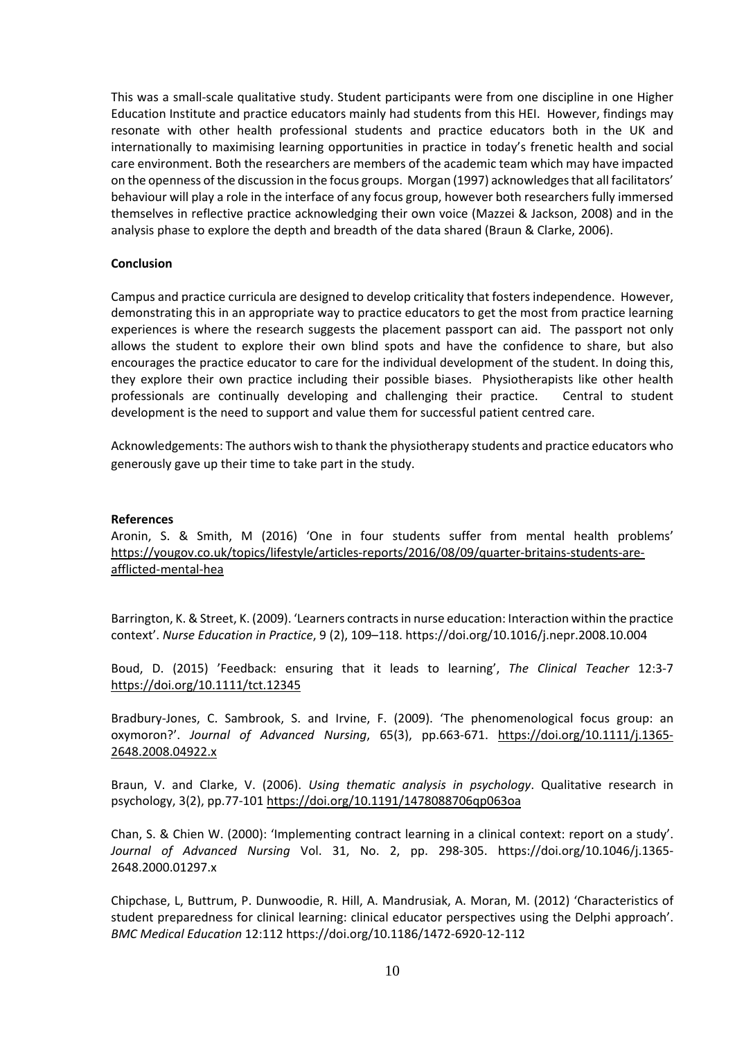This was a small-scale qualitative study. Student participants were from one discipline in one Higher Education Institute and practice educators mainly had students from this HEI. However, findings may resonate with other health professional students and practice educators both in the UK and internationally to maximising learning opportunities in practice in today's frenetic health and social care environment. Both the researchers are members of the academic team which may have impacted on the openness of the discussion in the focus groups. Morgan (1997) acknowledges that all facilitators' behaviour will play a role in the interface of any focus group, however both researchers fully immersed themselves in reflective practice acknowledging their own voice (Mazzei & Jackson, 2008) and in the analysis phase to explore the depth and breadth of the data shared (Braun & Clarke, 2006).

## **Conclusion**

Campus and practice curricula are designed to develop criticality that fosters independence. However, demonstrating this in an appropriate way to practice educators to get the most from practice learning experiences is where the research suggests the placement passport can aid. The passport not only allows the student to explore their own blind spots and have the confidence to share, but also encourages the practice educator to care for the individual development of the student. In doing this, they explore their own practice including their possible biases. Physiotherapists like other health professionals are continually developing and challenging their practice. Central to student development is the need to support and value them for successful patient centred care.

Acknowledgements: The authors wish to thank the physiotherapy students and practice educators who generously gave up their time to take part in the study.

#### **References**

Aronin, S. & Smith, M (2016) 'One in four students suffer from mental health problems' [https://yougov.co.uk/topics/lifestyle/articles-reports/2016/08/09/quarter-britains-students-are](https://yougov.co.uk/topics/lifestyle/articles-reports/2016/08/09/quarter-britains-students-are-afflicted-mental-hea)[afflicted-mental-hea](https://yougov.co.uk/topics/lifestyle/articles-reports/2016/08/09/quarter-britains-students-are-afflicted-mental-hea)

Barrington, K. & Street, K. (2009). 'Learners contracts in nurse education: Interaction within the practice context'. *Nurse Education in Practice*, 9 (2), 109–118. https://doi.org/10.1016/j.nepr.2008.10.004

Boud, D. (2015) 'Feedback: ensuring that it leads to learning', *The Clinical Teacher* 12:3-7 <https://doi.org/10.1111/tct.12345>

Bradbury-Jones, C. Sambrook, S. and Irvine, F. (2009). 'The phenomenological focus group: an oxymoron?'. *Journal of Advanced Nursing*, 65(3), pp.663-671. [https://doi.org/10.1111/j.1365-](https://doi.org/10.1111/j.1365-2648.2008.04922.x) [2648.2008.04922.x](https://doi.org/10.1111/j.1365-2648.2008.04922.x)

Braun, V. and Clarke, V. (2006). *Using thematic analysis in psychology*. Qualitative research in psychology, 3(2), pp.77-101 <https://doi.org/10.1191/1478088706qp063oa>

Chan, S. & Chien W. (2000): 'Implementing contract learning in a clinical context: report on a study'. *Journal of Advanced Nursing* Vol. 31, No. 2, pp. 298-305. https://doi.org/10.1046/j.1365- 2648.2000.01297.x

Chipchase, L, Buttrum, P. Dunwoodie, R. Hill, A. Mandrusiak, A. Moran, M. (2012) 'Characteristics of student preparedness for clinical learning: clinical educator perspectives using the Delphi approach'. *BMC Medical Education* 12:112 https://doi.org/10.1186/1472-6920-12-112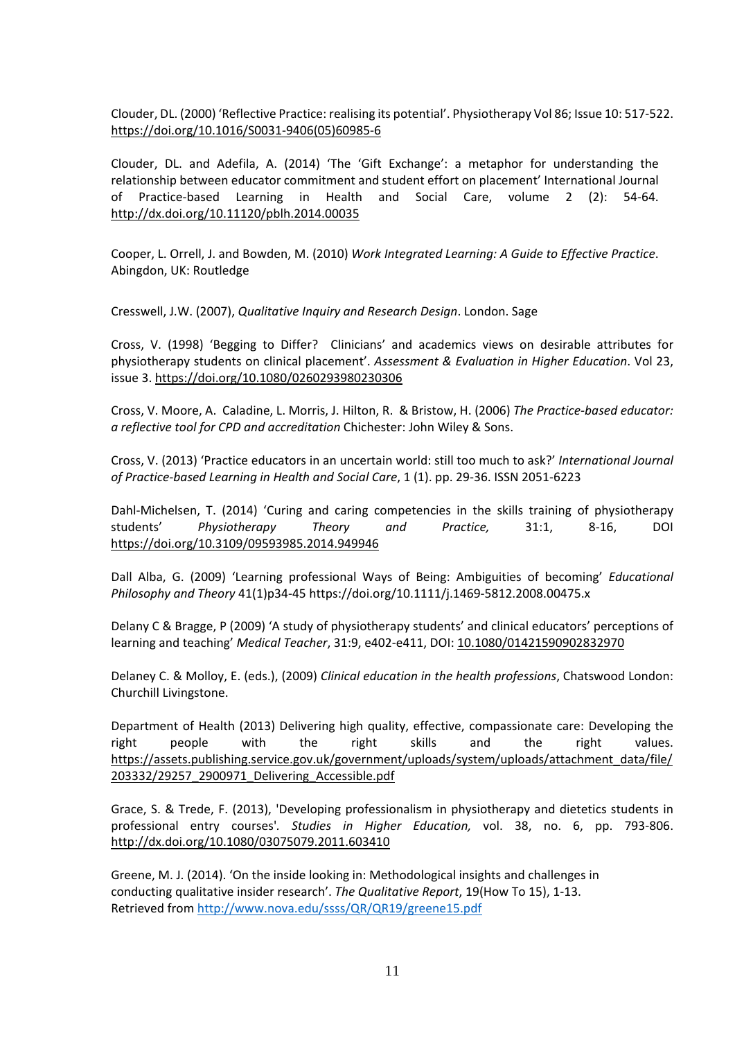Clouder, DL. (2000) 'Reflective Practice: realising its potential'. Physiotherapy Vol 86; Issue 10: 517-522. [https://doi.org/10.1016/S0031-9406\(05\)60985-6](https://doi.org/10.1016/S0031-9406(05)60985-6)

Clouder, DL. and Adefila, A. (2014) 'The 'Gift Exchange': a metaphor for understanding the relationship between educator commitment and student effort on placement' International Journal of Practice-based Learning in Health and Social Care, volume 2 (2): 54-64. <http://dx.doi.org/10.11120/pblh.2014.00035>

Cooper, L. Orrell, J. and Bowden, M. (2010) *Work Integrated Learning: A Guide to Effective Practice*. Abingdon, UK: Routledge

Cresswell, J.W. (2007), *Qualitative Inquiry and Research Design*. London. Sage

Cross, V. (1998) 'Begging to Differ? Clinicians' and academics views on desirable attributes for physiotherapy students on clinical placement'. *Assessment & Evaluation in Higher Education*. Vol 23, issue 3[. https://doi.org/10.1080/0260293980230306](https://doi.org/10.1080/0260293980230306)

Cross, V. Moore, A. Caladine, L. Morris, J. Hilton, R. & Bristow, H. (2006) *The Practice-based educator: a reflective tool for CPD and accreditation* Chichester: John Wiley & Sons.

Cross, V. (2013) 'Practice educators in an uncertain world: still too much to ask?' *International Journal of Practice-based Learning in Health and Social Care*, 1 (1). pp. 29-36. ISSN 2051-6223

Dahl-Michelsen, T. (2014) 'Curing and caring competencies in the skills training of physiotherapy students' *Physiotherapy Theory and Practice,* 31:1, 8-16, DOI <https://doi.org/10.3109/09593985.2014.949946>

Dall Alba, G. (2009) 'Learning professional Ways of Being: Ambiguities of becoming' *Educational Philosophy and Theory* 41(1)p34-45 https://doi.org/10.1111/j.1469-5812.2008.00475.x

Delany C & Bragge, P (2009) 'A study of physiotherapy students' and clinical educators' perceptions of learning and teaching' *Medical Teacher*, 31:9, e402-e411, DOI[: 10.1080/01421590902832970](https://doi.org/10.1080/01421590902832970)

Delaney C. & Molloy, E. (eds.), (2009) *Clinical education in the health professions*, Chatswood London: Churchill Livingstone.

Department of Health (2013) Delivering high quality, effective, compassionate care: Developing the right people with the right skills and the right values. [https://assets.publishing.service.gov.uk/government/uploads/system/uploads/attachment\\_data/file/](https://assets.publishing.service.gov.uk/government/uploads/system/uploads/attachment_data/file/203332/29257_2900971_Delivering_Accessible.pdf) [203332/29257\\_2900971\\_Delivering\\_Accessible.pdf](https://assets.publishing.service.gov.uk/government/uploads/system/uploads/attachment_data/file/203332/29257_2900971_Delivering_Accessible.pdf)

Grace, S. & Trede, F. (2013), 'Developing professionalism in physiotherapy and dietetics students in professional entry courses'*. Studies in Higher Education,* vol. 38, no. 6, pp. 793-806. <http://dx.doi.org/10.1080/03075079.2011.603410>

Greene, M. J. (2014). 'On the inside looking in: Methodological insights and challenges in conducting qualitative insider research'. *The Qualitative Report*, 19(How To 15), 1-13. Retrieved from<http://www.nova.edu/ssss/QR/QR19/greene15.pdf>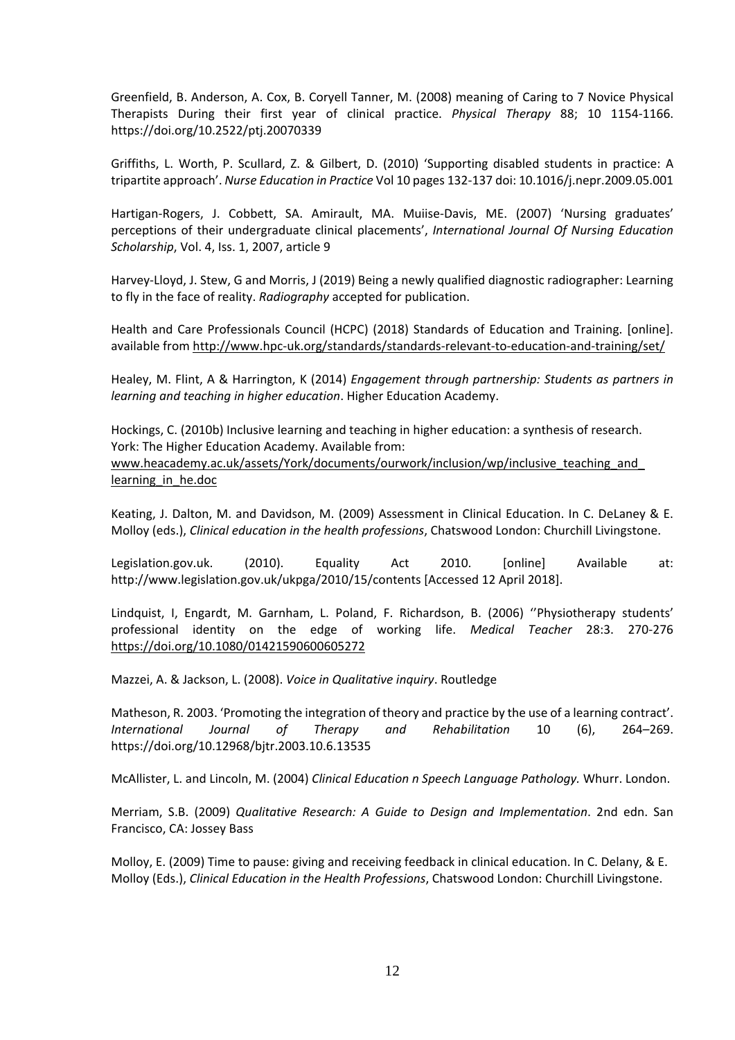Greenfield, B. Anderson, A. Cox, B. Coryell Tanner, M. (2008) meaning of Caring to 7 Novice Physical Therapists During their first year of clinical practice. *Physical Therapy* 88; 10 1154-1166. https://doi.org/10.2522/ptj.20070339

Griffiths, L. Worth, P. Scullard, Z. & Gilbert, D. (2010) 'Supporting disabled students in practice: A tripartite approach'. *Nurse Education in Practice* Vol 10 pages 132-137 doi: 10.1016/j.nepr.2009.05.001

Hartigan-Rogers, J. Cobbett, SA. Amirault, MA. Muiise-Davis, ME. (2007) 'Nursing graduates' perceptions of their undergraduate clinical placements', *International Journal Of Nursing Education Scholarship*, Vol. 4, Iss. 1, 2007, article 9

Harvey-Lloyd, J. Stew, G and Morris, J (2019) Being a newly qualified diagnostic radiographer: Learning to fly in the face of reality. *Radiography* accepted for publication.

Health and Care Professionals Council (HCPC) (2018) Standards of Education and Training. [online]. available from<http://www.hpc-uk.org/standards/standards-relevant-to-education-and-training/set/>

Healey, M. Flint, A & Harrington, K (2014) *Engagement through partnership: Students as partners in learning and teaching in higher education*. Higher Education Academy.

Hockings, C. (2010b) Inclusive learning and teaching in higher education: a synthesis of research. York: The Higher Education Academy. Available from: [www.heacademy.](http://www.heacademy/)ac.uk/assets/York/documents/ourwork/inclusion/wp/inclusive\_teaching\_and\_ learning in he.doc

Keating, J. Dalton, M. and Davidson, M. (2009) Assessment in Clinical Education. In C. DeLaney & E. Molloy (eds.), *Clinical education in the health professions*, Chatswood London: Churchill Livingstone.

Legislation.gov.uk. (2010). Equality Act 2010. [online] Available at: http://www.legislation.gov.uk/ukpga/2010/15/contents [Accessed 12 April 2018].

Lindquist, I, Engardt, M. Garnham, L. Poland, F. Richardson, B. (2006) ''Physiotherapy students' professional identity on the edge of working life. *Medical Teacher* 28:3. 270-276 <https://doi.org/10.1080/01421590600605272>

Mazzei, A. & Jackson, L. (2008). *Voice in Qualitative inquiry*. Routledge

Matheson, R. 2003. 'Promoting the integration of theory and practice by the use of a learning contract'. *International Journal of Therapy and Rehabilitation* 10 (6), 264–269. https://doi.org/10.12968/bjtr.2003.10.6.13535

McAllister, L. and Lincoln, M. (2004) *Clinical Education n Speech Language Pathology.* Whurr. London.

Merriam, S.B. (2009) *Qualitative Research: A Guide to Design and Implementation*. 2nd edn. San Francisco, CA: Jossey Bass

Molloy, E. (2009) Time to pause: giving and receiving feedback in clinical education. In C. Delany, & E. Molloy (Eds.), *Clinical Education in the Health Professions*, Chatswood London: Churchill Livingstone.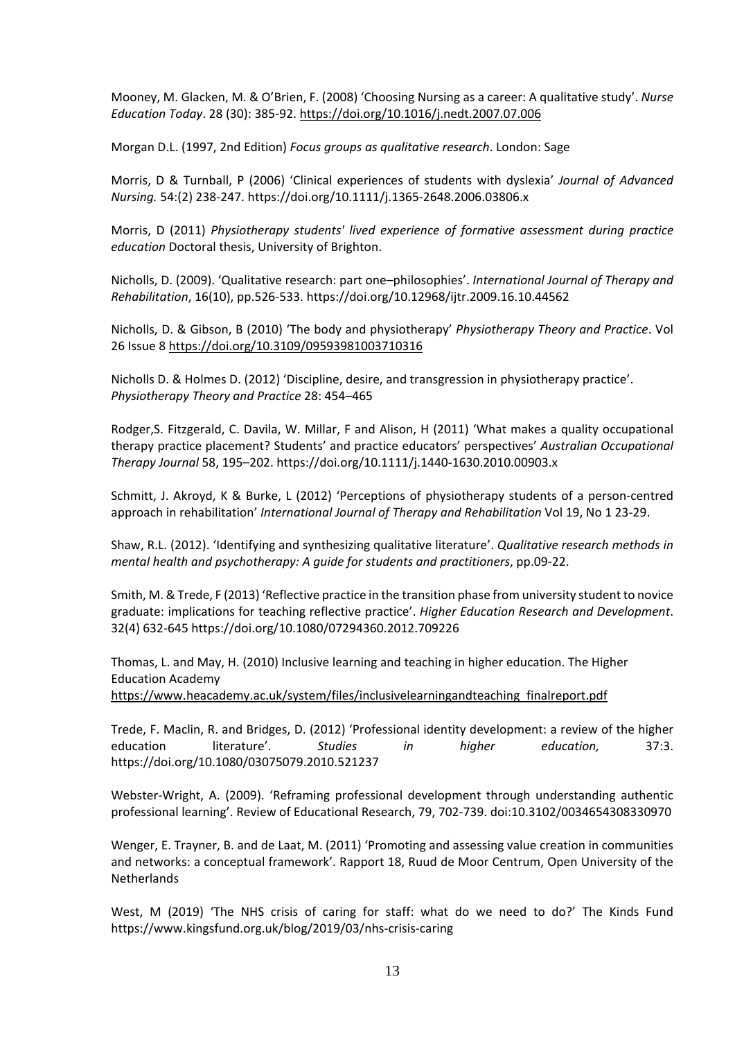Mooney, M. Glacken, M. & O'Brien, F. (2008) 'Choosing Nursing as a career: A qualitative study'. *Nurse Education Today*. 28 (30): 385-92.<https://doi.org/10.1016/j.nedt.2007.07.006>

Morgan D.L. (1997, 2nd Edition) *Focus groups as qualitative research*. London: Sage

Morris, D & Turnball, P (2006) 'Clinical experiences of students with dyslexia' *Journal of Advanced Nursing.* 54:(2) 238-247. https://doi.org/10.1111/j.1365-2648.2006.03806.x

Morris, D (2011) *[Physiotherapy students' lived experience of formative assessment during practice](http://eprints.brighton.ac.uk/12218/)  [education](http://eprints.brighton.ac.uk/12218/)* Doctoral thesis, University of Brighton.

Nicholls, D. (2009). 'Qualitative research: part one–philosophies'. *International Journal of Therapy and Rehabilitation*, 16(10), pp.526-533. https://doi.org/10.12968/ijtr.2009.16.10.44562

Nicholls, D. & Gibson, B (2010) 'The body and physiotherapy' *Physiotherapy Theory and Practice*. Vol 26 Issue 8<https://doi.org/10.3109/09593981003710316>

Nicholls D. & Holmes D. (2012) 'Discipline, desire, and transgression in physiotherapy practice'. *Physiotherapy Theory and Practice* 28: 454–465

Rodger,S. Fitzgerald, C. Davila, W. Millar, F and Alison, H (2011) 'What makes a quality occupational therapy practice placement? Students' and practice educators' perspectives' *Australian Occupational Therapy Journal* 58, 195–202. https://doi.org/10.1111/j.1440-1630.2010.00903.x

Schmitt, J. Akroyd, K & Burke, L (2012) 'Perceptions of physiotherapy students of a person-centred approach in rehabilitation' *International Journal of Therapy and Rehabilitation* Vol 19, No 1 23-29.

Shaw, R.L. (2012). 'Identifying and synthesizing qualitative literature'. *Qualitative research methods in mental health and psychotherapy: A guide for students and practitioners*, pp.09-22.

Smith, M.& Trede, F (2013) 'Reflective practice in the transition phase from university student to novice graduate: implications for teaching reflective practice'. *Higher Education Research and Development*. 32(4) 632-645 https://doi.org/10.1080/07294360.2012.709226

Thomas, L. and May, H. (2010) Inclusive learning and teaching in higher education. The Higher Education Academy

[https://www.heacademy.ac.uk/system/files/inclusivelearningandteaching\\_finalreport.pdf](https://www.heacademy.ac.uk/system/files/inclusivelearningandteaching_finalreport.pdf)

Trede, F. Maclin, R. and Bridges, D. (2012) 'Professional identity development: a review of the higher education literature'. *Studies in higher education,* 37:3. https://doi.org/10.1080/03075079.2010.521237

Webster-Wright, A. (2009). 'Reframing professional development through understanding authentic professional learning'. Review of Educational Research, 79, 702-739. doi:10.3102/0034654308330970

Wenger, E. Trayner, B. and de Laat, M. (2011) 'Promoting and assessing value creation in communities and networks: a conceptual framework'. Rapport 18, Ruud de Moor Centrum, Open University of the **Netherlands** 

West, M (2019) 'The NHS crisis of caring for staff: what do we need to do?' The Kinds Fund https://www.kingsfund.org.uk/blog/2019/03/nhs-crisis-caring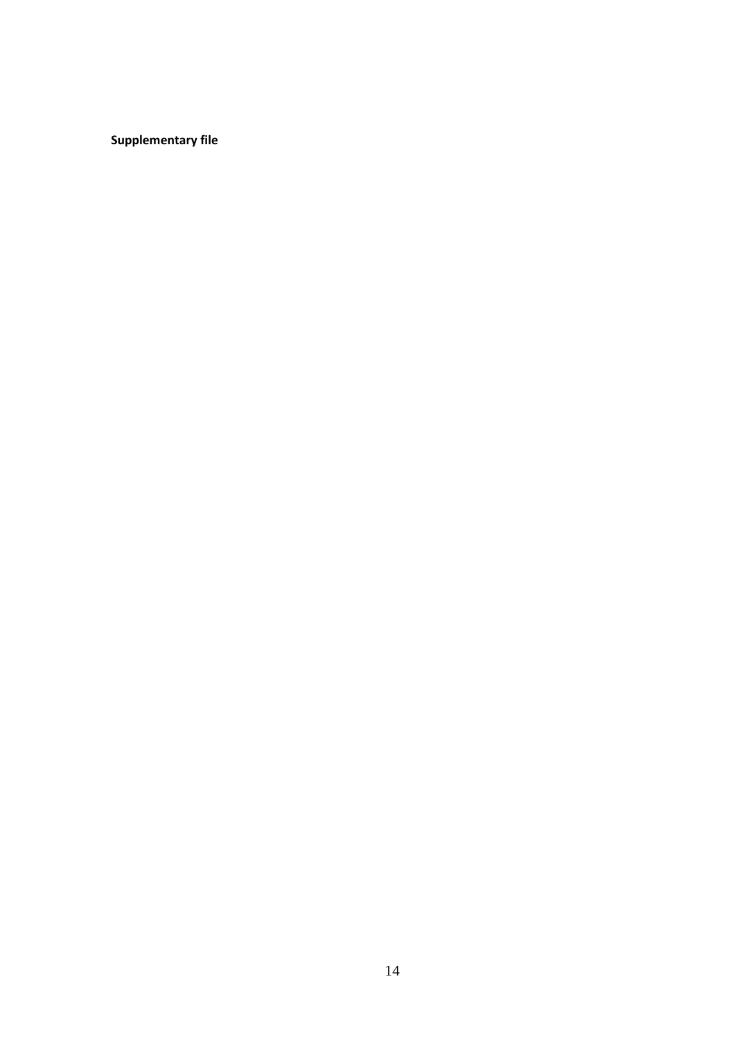**Supplementary file**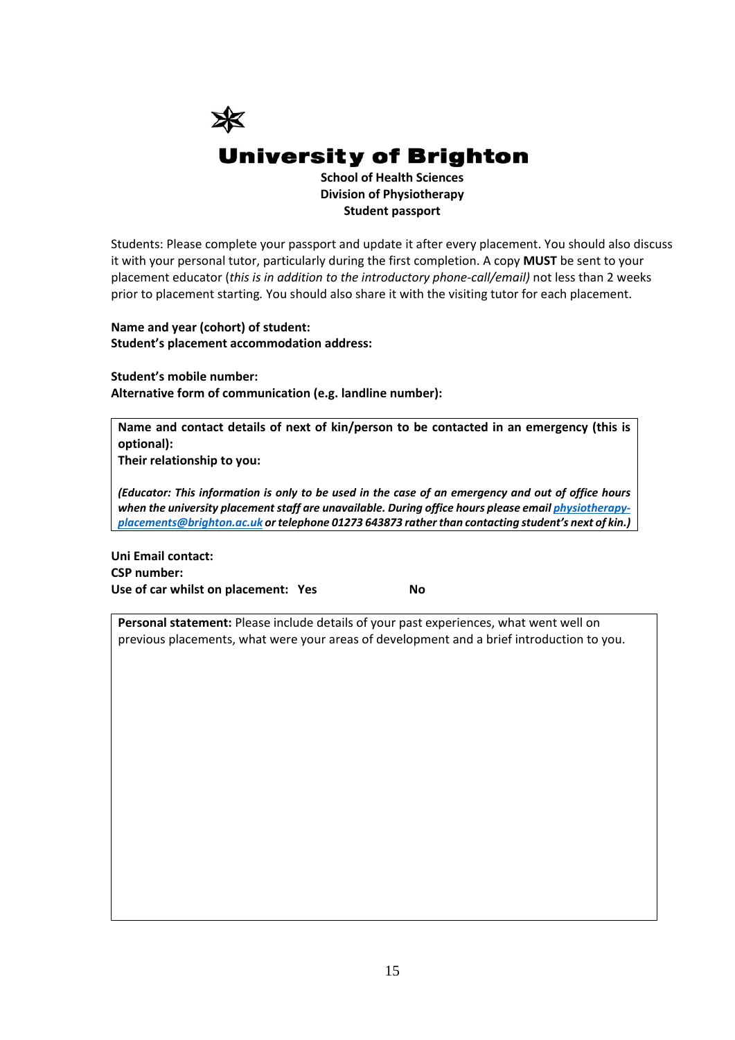

Students: Please complete your passport and update it after every placement. You should also discuss it with your personal tutor, particularly during the first completion. A copy **MUST** be sent to your placement educator (*this is in addition to the introductory phone-call/email)* not less than 2 weeks prior to placement starting*.* You should also share it with the visiting tutor for each placement.

**Name and year (cohort) of student: Student's placement accommodation address:**

**Student's mobile number: Alternative form of communication (e.g. landline number):**

**Name and contact details of next of kin/person to be contacted in an emergency (this is optional):**

**Their relationship to you:**

*(Educator: This information is only to be used in the case of an emergency and out of office hours when the university placement staff are unavailable. During office hours please emai[l physiotherapy](mailto:physiotherapy-placements@brighton.ac.uk)[placements@brighton.ac.uk](mailto:physiotherapy-placements@brighton.ac.uk) or telephone 01273 643873 rather than contacting student's next of kin.)*

**Uni Email contact: CSP number:**  Use of car whilst on placement: Yes No

**Personal statement:** Please include details of your past experiences, what went well on previous placements, what were your areas of development and a brief introduction to you.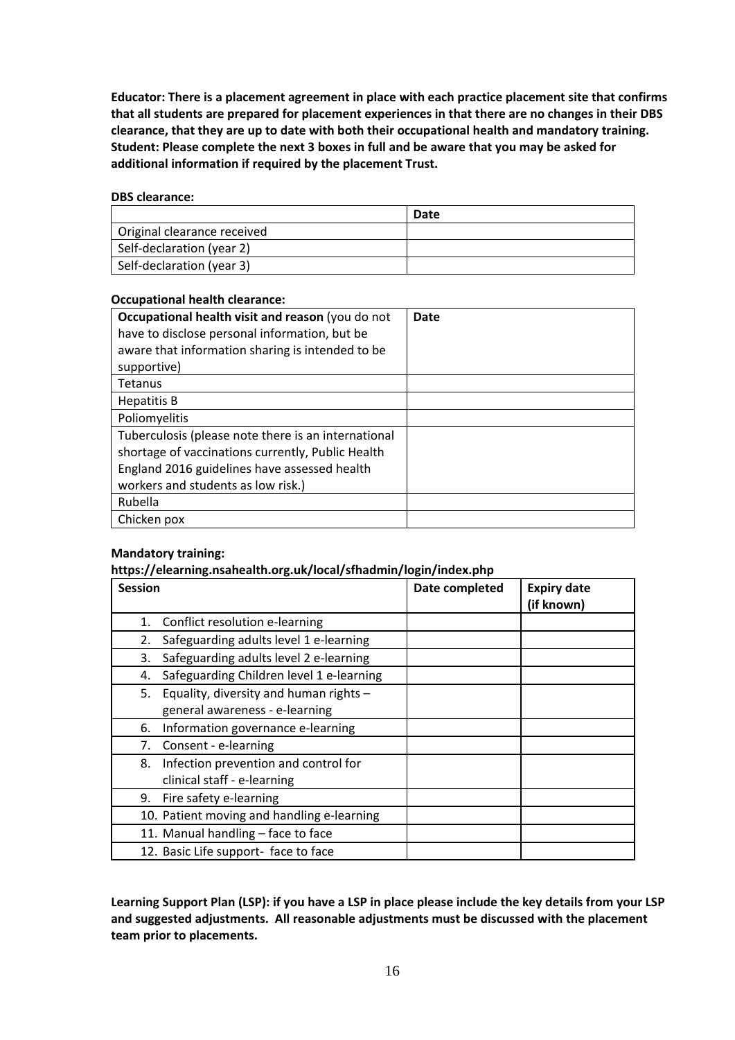**Educator: There is a placement agreement in place with each practice placement site that confirms that all students are prepared for placement experiences in that there are no changes in their DBS clearance, that they are up to date with both their occupational health and mandatory training. Student: Please complete the next 3 boxes in full and be aware that you may be asked for additional information if required by the placement Trust.**

# **DBS clearance:**

|                             | Date |
|-----------------------------|------|
| Original clearance received |      |
| Self-declaration (year 2)   |      |
| Self-declaration (year 3)   |      |

# **Occupational health clearance:**

| Occupational health visit and reason (you do not<br>have to disclose personal information, but be | Date |
|---------------------------------------------------------------------------------------------------|------|
| aware that information sharing is intended to be                                                  |      |
| supportive)                                                                                       |      |
| <b>Tetanus</b>                                                                                    |      |
| <b>Hepatitis B</b>                                                                                |      |
| Poliomyelitis                                                                                     |      |
| Tuberculosis (please note there is an international                                               |      |
| shortage of vaccinations currently, Public Health                                                 |      |
| England 2016 guidelines have assessed health                                                      |      |
| workers and students as low risk.)                                                                |      |
| Rubella                                                                                           |      |
| Chicken pox                                                                                       |      |

# **Mandatory training:**

# **https://elearning.nsahealth.org.uk/local/sfhadmin/login/index.php**

| <b>Session</b> |                                            | Date completed | <b>Expiry date</b><br>(if known) |
|----------------|--------------------------------------------|----------------|----------------------------------|
| 1.             | Conflict resolution e-learning             |                |                                  |
| 2.             | Safeguarding adults level 1 e-learning     |                |                                  |
| 3.             | Safeguarding adults level 2 e-learning     |                |                                  |
| 4.             | Safeguarding Children level 1 e-learning   |                |                                  |
| 5.             | Equality, diversity and human rights -     |                |                                  |
|                | general awareness - e-learning             |                |                                  |
| 6.             | Information governance e-learning          |                |                                  |
| 7.             | Consent - e-learning                       |                |                                  |
| 8.             | Infection prevention and control for       |                |                                  |
|                | clinical staff - e-learning                |                |                                  |
| 9.             | Fire safety e-learning                     |                |                                  |
|                | 10. Patient moving and handling e-learning |                |                                  |
|                | 11. Manual handling - face to face         |                |                                  |
|                | 12. Basic Life support- face to face       |                |                                  |

**Learning Support Plan (LSP): if you have a LSP in place please include the key details from your LSP and suggested adjustments. All reasonable adjustments must be discussed with the placement team prior to placements.**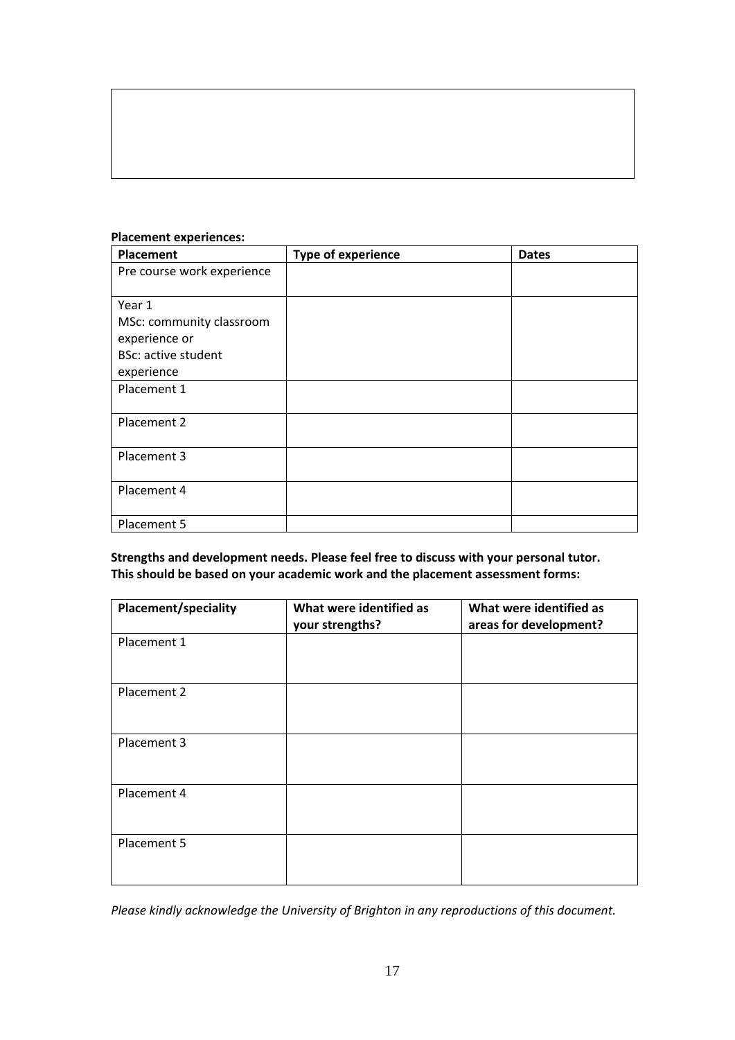| Placement                  | <b>Type of experience</b> | <b>Dates</b> |
|----------------------------|---------------------------|--------------|
| Pre course work experience |                           |              |
|                            |                           |              |
| Year 1                     |                           |              |
| MSc: community classroom   |                           |              |
| experience or              |                           |              |
| <b>BSc: active student</b> |                           |              |
| experience                 |                           |              |
| Placement 1                |                           |              |
|                            |                           |              |
| Placement 2                |                           |              |
|                            |                           |              |
| Placement 3                |                           |              |
|                            |                           |              |
| Placement 4                |                           |              |
|                            |                           |              |
| Placement 5                |                           |              |

# **Placement experiences:**

**Strengths and development needs. Please feel free to discuss with your personal tutor. This should be based on your academic work and the placement assessment forms:** 

| <b>Placement/speciality</b> | What were identified as<br>your strengths? | What were identified as<br>areas for development? |
|-----------------------------|--------------------------------------------|---------------------------------------------------|
| Placement 1                 |                                            |                                                   |
| Placement 2                 |                                            |                                                   |
| Placement 3                 |                                            |                                                   |
| Placement 4                 |                                            |                                                   |
| Placement 5                 |                                            |                                                   |

*Please kindly acknowledge the University of Brighton in any reproductions of this document.*